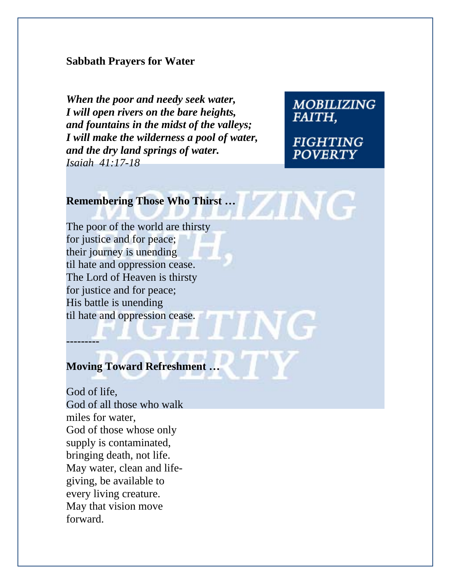#### **Sabbath Prayers for Water**

*When the poor and needy seek water, I will open rivers on the bare heights, and fountains in the midst of the valleys; I will make the wilderness a pool of water, and the dry land springs of water. Isaiah 41:17-18*

**MOBILIZING FAITH.** 

**FIGHTING POVERTY** 

**ING** 

# **Remembering Those Who Thirst … <br>
and Those Who Thirst … <br>
All the United States who Thirst …**

The poor of the world are thirsty for justice and for peace; their journey is unending til hate and oppression cease. The Lord of Heaven is thirsty for justice and for peace; His battle is unending til hate and oppression cease.

**Moving Toward Refreshment …** 

**---------** 

God of life, God of all those who walk miles for water, God of those whose only supply is contaminated, bringing death, not life. May water, clean and lifegiving, be available to every living creature. May that vision move forward.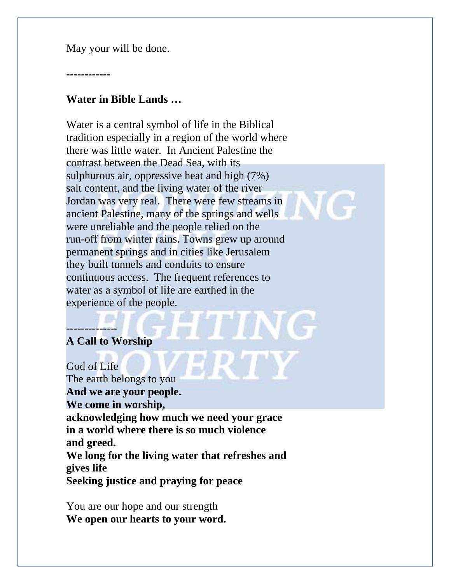May your will be done.

**------------** 

### **Water in Bible Lands …**

Water is a central symbol of life in the Biblical tradition especially in a region of the world where there was little water. In Ancient Palestine the contrast between the Dead Sea, with its sulphurous air, oppressive heat and high (7%) salt content, and the living water of the river Jordan was very real. There were few streams in ancient Palestine, many of the springs and wells were unreliable and the people relied on the run-off from winter rains. Towns grew up around permanent springs and in cities like Jerusalem they built tunnels and conduits to ensure continuous access. The frequent references to water as a symbol of life are earthed in the experience of the people.

## **A Call to Worship**

**--------------** 

God of Life The earth belongs to you **And we are your people. We come in worship, acknowledging how much we need your grace in a world where there is so much violence and greed. We long for the living water that refreshes and gives life Seeking justice and praying for peace**

You are our hope and our strength **We open our hearts to your word.**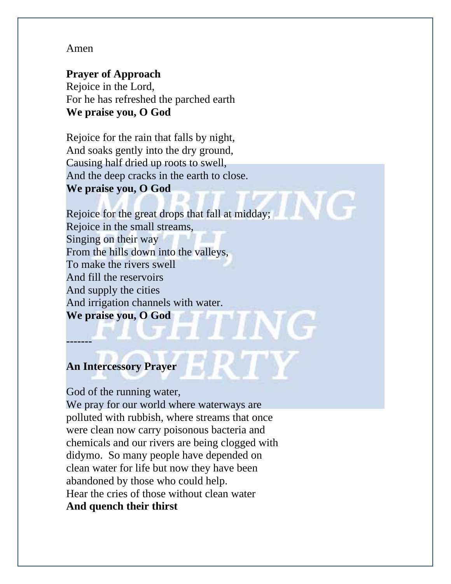#### Amen

# **Prayer of Approach**

Rejoice in the Lord, For he has refreshed the parched earth **We praise you, O God** 

Rejoice for the rain that falls by night, And soaks gently into the dry ground, Causing half dried up roots to swell, And the deep cracks in the earth to close. **We praise you, O God** 

Rejoice for the great drops that fall at midday; Rejoice in the small streams, Singing on their way From the hills down into the valleys, To make the rivers swell And fill the reservoirs And supply the cities And irrigation channels with water. **We praise you, O God** 

# **An Intercessory Prayer**

**-------** 

#### God of the running water,

We pray for our world where waterways are polluted with rubbish, where streams that once were clean now carry poisonous bacteria and chemicals and our rivers are being clogged with didymo. So many people have depended on clean water for life but now they have been abandoned by those who could help. Hear the cries of those without clean water **And quench their thirst**